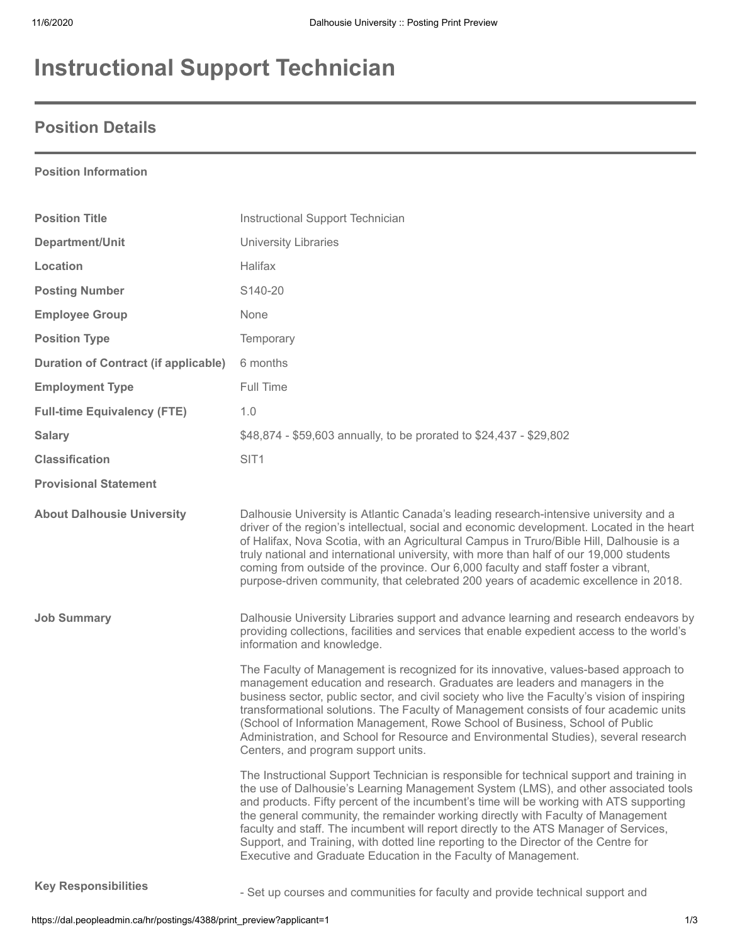# **Instructional Support Technician**

## **Position Details**

#### **Position Information**

| <b>Position Title</b>                       | Instructional Support Technician                                                                                                                                                                                                                                                                                                                                                                                                                                                                                                                                                                                  |
|---------------------------------------------|-------------------------------------------------------------------------------------------------------------------------------------------------------------------------------------------------------------------------------------------------------------------------------------------------------------------------------------------------------------------------------------------------------------------------------------------------------------------------------------------------------------------------------------------------------------------------------------------------------------------|
| Department/Unit                             | <b>University Libraries</b>                                                                                                                                                                                                                                                                                                                                                                                                                                                                                                                                                                                       |
| Location                                    | Halifax                                                                                                                                                                                                                                                                                                                                                                                                                                                                                                                                                                                                           |
| <b>Posting Number</b>                       | S140-20                                                                                                                                                                                                                                                                                                                                                                                                                                                                                                                                                                                                           |
| <b>Employee Group</b>                       | None                                                                                                                                                                                                                                                                                                                                                                                                                                                                                                                                                                                                              |
| <b>Position Type</b>                        | Temporary                                                                                                                                                                                                                                                                                                                                                                                                                                                                                                                                                                                                         |
| <b>Duration of Contract (if applicable)</b> | 6 months                                                                                                                                                                                                                                                                                                                                                                                                                                                                                                                                                                                                          |
| <b>Employment Type</b>                      | Full Time                                                                                                                                                                                                                                                                                                                                                                                                                                                                                                                                                                                                         |
| <b>Full-time Equivalency (FTE)</b>          | 1.0                                                                                                                                                                                                                                                                                                                                                                                                                                                                                                                                                                                                               |
| <b>Salary</b>                               | \$48,874 - \$59,603 annually, to be prorated to \$24,437 - \$29,802                                                                                                                                                                                                                                                                                                                                                                                                                                                                                                                                               |
| <b>Classification</b>                       | SIT <sub>1</sub>                                                                                                                                                                                                                                                                                                                                                                                                                                                                                                                                                                                                  |
| <b>Provisional Statement</b>                |                                                                                                                                                                                                                                                                                                                                                                                                                                                                                                                                                                                                                   |
| <b>About Dalhousie University</b>           | Dalhousie University is Atlantic Canada's leading research-intensive university and a<br>driver of the region's intellectual, social and economic development. Located in the heart<br>of Halifax, Nova Scotia, with an Agricultural Campus in Truro/Bible Hill, Dalhousie is a<br>truly national and international university, with more than half of our 19,000 students<br>coming from outside of the province. Our 6,000 faculty and staff foster a vibrant,<br>purpose-driven community, that celebrated 200 years of academic excellence in 2018.                                                           |
| <b>Job Summary</b>                          | Dalhousie University Libraries support and advance learning and research endeavors by<br>providing collections, facilities and services that enable expedient access to the world's<br>information and knowledge.                                                                                                                                                                                                                                                                                                                                                                                                 |
|                                             | The Faculty of Management is recognized for its innovative, values-based approach to<br>management education and research. Graduates are leaders and managers in the<br>business sector, public sector, and civil society who live the Faculty's vision of inspiring<br>transformational solutions. The Faculty of Management consists of four academic units<br>(School of Information Management, Rowe School of Business, School of Public<br>Administration, and School for Resource and Environmental Studies), several research<br>Centers, and program support units.                                      |
|                                             | The Instructional Support Technician is responsible for technical support and training in<br>the use of Dalhousie's Learning Management System (LMS), and other associated tools<br>and products. Fifty percent of the incumbent's time will be working with ATS supporting<br>the general community, the remainder working directly with Faculty of Management<br>faculty and staff. The incumbent will report directly to the ATS Manager of Services,<br>Support, and Training, with dotted line reporting to the Director of the Centre for<br>Executive and Graduate Education in the Faculty of Management. |
| <b>Key Responsibilities</b>                 | - Set up courses and communities for faculty and provide technical support and                                                                                                                                                                                                                                                                                                                                                                                                                                                                                                                                    |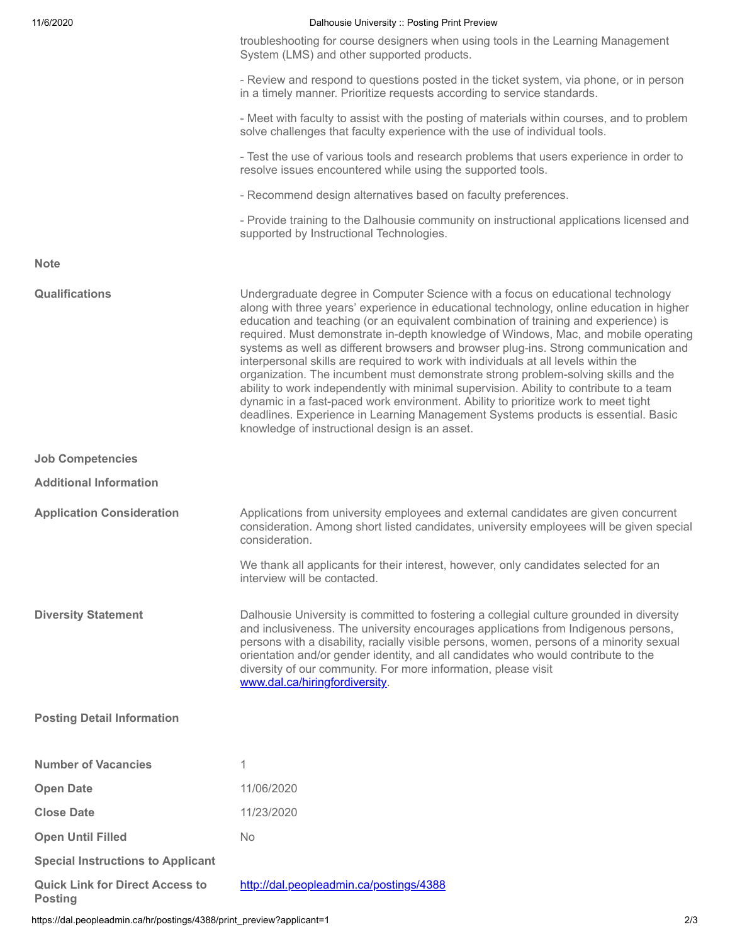| 11/6/2020 | Dalhousie University :: Posting Print Preview |
|-----------|-----------------------------------------------|
|           |                                               |

|                                          | troubleshooting for course designers when using tools in the Learning Management<br>System (LMS) and other supported products.                                                                                                                                                                                                                                                                                                                                                                                                                                                                                                                                                                                                                                                                                                                                                                                                                         |
|------------------------------------------|--------------------------------------------------------------------------------------------------------------------------------------------------------------------------------------------------------------------------------------------------------------------------------------------------------------------------------------------------------------------------------------------------------------------------------------------------------------------------------------------------------------------------------------------------------------------------------------------------------------------------------------------------------------------------------------------------------------------------------------------------------------------------------------------------------------------------------------------------------------------------------------------------------------------------------------------------------|
|                                          | - Review and respond to questions posted in the ticket system, via phone, or in person<br>in a timely manner. Prioritize requests according to service standards.                                                                                                                                                                                                                                                                                                                                                                                                                                                                                                                                                                                                                                                                                                                                                                                      |
|                                          | - Meet with faculty to assist with the posting of materials within courses, and to problem<br>solve challenges that faculty experience with the use of individual tools.                                                                                                                                                                                                                                                                                                                                                                                                                                                                                                                                                                                                                                                                                                                                                                               |
|                                          | - Test the use of various tools and research problems that users experience in order to<br>resolve issues encountered while using the supported tools.                                                                                                                                                                                                                                                                                                                                                                                                                                                                                                                                                                                                                                                                                                                                                                                                 |
|                                          | - Recommend design alternatives based on faculty preferences.                                                                                                                                                                                                                                                                                                                                                                                                                                                                                                                                                                                                                                                                                                                                                                                                                                                                                          |
|                                          | - Provide training to the Dalhousie community on instructional applications licensed and<br>supported by Instructional Technologies.                                                                                                                                                                                                                                                                                                                                                                                                                                                                                                                                                                                                                                                                                                                                                                                                                   |
| <b>Note</b>                              |                                                                                                                                                                                                                                                                                                                                                                                                                                                                                                                                                                                                                                                                                                                                                                                                                                                                                                                                                        |
| <b>Qualifications</b>                    | Undergraduate degree in Computer Science with a focus on educational technology<br>along with three years' experience in educational technology, online education in higher<br>education and teaching (or an equivalent combination of training and experience) is<br>required. Must demonstrate in-depth knowledge of Windows, Mac, and mobile operating<br>systems as well as different browsers and browser plug-ins. Strong communication and<br>interpersonal skills are required to work with individuals at all levels within the<br>organization. The incumbent must demonstrate strong problem-solving skills and the<br>ability to work independently with minimal supervision. Ability to contribute to a team<br>dynamic in a fast-paced work environment. Ability to prioritize work to meet tight<br>deadlines. Experience in Learning Management Systems products is essential. Basic<br>knowledge of instructional design is an asset. |
| <b>Job Competencies</b>                  |                                                                                                                                                                                                                                                                                                                                                                                                                                                                                                                                                                                                                                                                                                                                                                                                                                                                                                                                                        |
| <b>Additional Information</b>            |                                                                                                                                                                                                                                                                                                                                                                                                                                                                                                                                                                                                                                                                                                                                                                                                                                                                                                                                                        |
| <b>Application Consideration</b>         | Applications from university employees and external candidates are given concurrent<br>consideration. Among short listed candidates, university employees will be given special<br>consideration.                                                                                                                                                                                                                                                                                                                                                                                                                                                                                                                                                                                                                                                                                                                                                      |
|                                          | We thank all applicants for their interest, however, only candidates selected for an<br>interview will be contacted.                                                                                                                                                                                                                                                                                                                                                                                                                                                                                                                                                                                                                                                                                                                                                                                                                                   |
| <b>Diversity Statement</b>               | Dalhousie University is committed to fostering a collegial culture grounded in diversity<br>and inclusiveness. The university encourages applications from Indigenous persons,<br>persons with a disability, racially visible persons, women, persons of a minority sexual<br>orientation and/or gender identity, and all candidates who would contribute to the<br>diversity of our community. For more information, please visit<br>www.dal.ca/hiringfordiversity.                                                                                                                                                                                                                                                                                                                                                                                                                                                                                   |
| <b>Posting Detail Information</b>        |                                                                                                                                                                                                                                                                                                                                                                                                                                                                                                                                                                                                                                                                                                                                                                                                                                                                                                                                                        |
| <b>Number of Vacancies</b>               | 1                                                                                                                                                                                                                                                                                                                                                                                                                                                                                                                                                                                                                                                                                                                                                                                                                                                                                                                                                      |
| <b>Open Date</b>                         | 11/06/2020                                                                                                                                                                                                                                                                                                                                                                                                                                                                                                                                                                                                                                                                                                                                                                                                                                                                                                                                             |
| <b>Close Date</b>                        | 11/23/2020                                                                                                                                                                                                                                                                                                                                                                                                                                                                                                                                                                                                                                                                                                                                                                                                                                                                                                                                             |
| <b>Open Until Filled</b>                 | <b>No</b>                                                                                                                                                                                                                                                                                                                                                                                                                                                                                                                                                                                                                                                                                                                                                                                                                                                                                                                                              |
| <b>Special Instructions to Applicant</b> |                                                                                                                                                                                                                                                                                                                                                                                                                                                                                                                                                                                                                                                                                                                                                                                                                                                                                                                                                        |
| <b>Quick Link for Direct Access to</b>   | http://dal.peopleadmin.ca/postings/4388                                                                                                                                                                                                                                                                                                                                                                                                                                                                                                                                                                                                                                                                                                                                                                                                                                                                                                                |

**Posting**